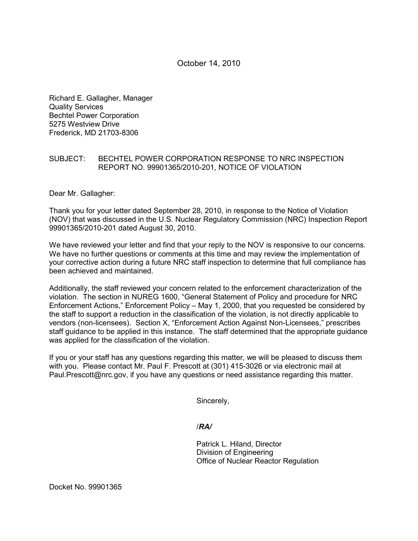# October 14, 2010

Richard E. Gallagher, Manager Quality Services Bechtel Power Corporation 5275 Westview Drive Frederick, MD 21703-8306

## SUBJECT: BECHTEL POWER CORPORATION RESPONSE TO NRC INSPECTION REPORT NO. 99901365/2010-201, NOTICE OF VIOLATION

Dear Mr. Gallagher:

Thank you for your letter dated September 28, 2010, in response to the Notice of Violation (NOV) that was discussed in the U.S. Nuclear Regulatory Commission (NRC) Inspection Report 99901365/2010-201 dated August 30, 2010.

We have reviewed your letter and find that your reply to the NOV is responsive to our concerns. We have no further questions or comments at this time and may review the implementation of your corrective action during a future NRC staff inspection to determine that full compliance has been achieved and maintained.

Additionally, the staff reviewed your concern related to the enforcement characterization of the violation. The section in NUREG 1600, "General Statement of Policy and procedure for NRC Enforcement Actions," Enforcement Policy – May 1, 2000, that you requested be considered by the staff to support a reduction in the classification of the violation, is not directly applicable to vendors (non-licensees). Section X, "Enforcement Action Against Non-Licensees," prescribes staff guidance to be applied in this instance. The staff determined that the appropriate guidance was applied for the classification of the violation.

If you or your staff has any questions regarding this matter, we will be pleased to discuss them with you. Please contact Mr. Paul F. Prescott at (301) 415-3026 or via electronic mail at Paul.Prescott@nrc.gov, if you have any questions or need assistance regarding this matter.

Sincerely,

/*RA/*

Patrick L. Hiland, Director Division of Engineering Office of Nuclear Reactor Regulation

Docket No. 99901365